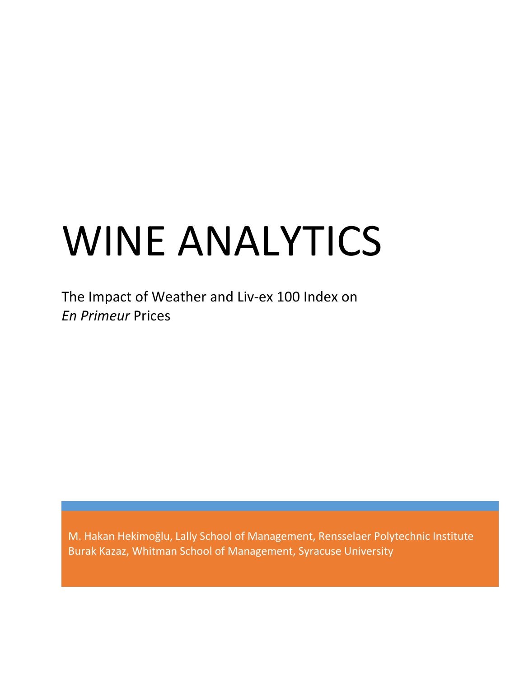# WINE ANALYTICS

The Impact of Weather and Liv-ex 100 Index on *En Primeur* Prices

M. Hakan Hekimoğlu, Lally School of Management, Rensselaer Polytechnic Institute Burak Kazaz, Whitman School of Management, Syracuse University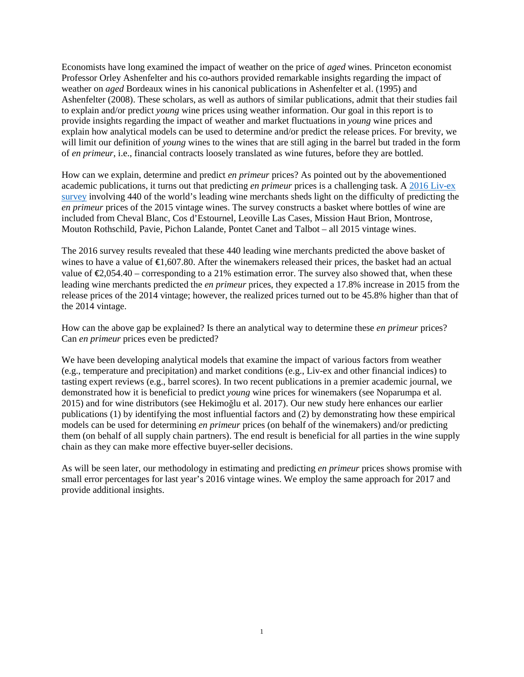Economists have long examined the impact of weather on the price of *aged* wines. Princeton economist Professor Orley Ashenfelter and his co-authors provided remarkable insights regarding the impact of weather on *aged* Bordeaux wines in his canonical publications in Ashenfelter et al. (1995) and Ashenfelter (2008). These scholars, as well as authors of similar publications, admit that their studies fail to explain and/or predict *young* wine prices using weather information. Our goal in this report is to provide insights regarding the impact of weather and market fluctuations in *young* wine prices and explain how analytical models can be used to determine and/or predict the release prices. For brevity, we will limit our definition of *young* wines to the wines that are still aging in the barrel but traded in the form of *en primeur*, i.e., financial contracts loosely translated as wine futures, before they are bottled.

How can we explain, determine and predict *en primeur* prices? As pointed out by the abovementioned academic publications, it turns out that predicting *en primeur* prices is a challenging task. A [2016 Liv-ex](https://www.liv-ex.com/2016/06/merchants-underestimated-bordeaux-2015-release-prices/)  [survey](https://www.liv-ex.com/2016/06/merchants-underestimated-bordeaux-2015-release-prices/) involving 440 of the world's leading wine merchants sheds light on the difficulty of predicting the *en primeur* prices of the 2015 vintage wines. The survey constructs a basket where bottles of wine are included from Cheval Blanc, Cos d'Estournel, Leoville Las Cases, Mission Haut Brion, Montrose, Mouton Rothschild, Pavie, Pichon Lalande, Pontet Canet and Talbot – all 2015 vintage wines.

The 2016 survey results revealed that these 440 leading wine merchants predicted the above basket of wines to have a value of  $\epsilon$ 1,607.80. After the winemakers released their prices, the basket had an actual value of  $\epsilon$ 2,054.40 – corresponding to a 21% estimation error. The survey also showed that, when these leading wine merchants predicted the *en primeur* prices, they expected a 17.8% increase in 2015 from the release prices of the 2014 vintage; however, the realized prices turned out to be 45.8% higher than that of the 2014 vintage.

How can the above gap be explained? Is there an analytical way to determine these *en primeur* prices? Can *en primeur* prices even be predicted?

We have been developing analytical models that examine the impact of various factors from weather (e.g., temperature and precipitation) and market conditions (e.g., Liv-ex and other financial indices) to tasting expert reviews (e.g., barrel scores). In two recent publications in a premier academic journal, we demonstrated how it is beneficial to predict *young* wine prices for winemakers (see Noparumpa et al. 2015) and for wine distributors (see Hekimoğlu et al. 2017). Our new study here enhances our earlier publications (1) by identifying the most influential factors and (2) by demonstrating how these empirical models can be used for determining *en primeur* prices (on behalf of the winemakers) and/or predicting them (on behalf of all supply chain partners). The end result is beneficial for all parties in the wine supply chain as they can make more effective buyer-seller decisions.

As will be seen later, our methodology in estimating and predicting *en primeur* prices shows promise with small error percentages for last year's 2016 vintage wines. We employ the same approach for 2017 and provide additional insights.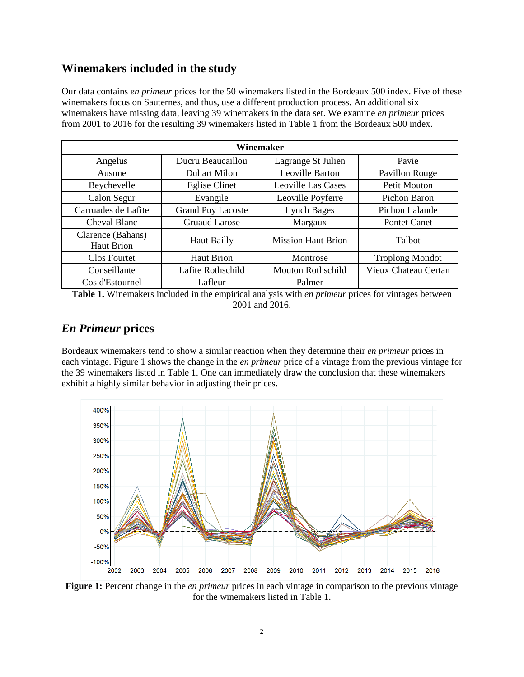## **Winemakers included in the study**

Our data contains *en primeur* prices for the 50 winemakers listed in the Bordeaux 500 index. Five of these winemakers focus on Sauternes, and thus, use a different production process. An additional six winemakers have missing data, leaving 39 winemakers in the data set. We examine *en primeur* prices from 2001 to 2016 for the resulting 39 winemakers listed in Table 1 from the Bordeaux 500 index.

| Winemaker                              |                          |                           |                        |  |  |  |  |  |  |
|----------------------------------------|--------------------------|---------------------------|------------------------|--|--|--|--|--|--|
| Angelus                                | Ducru Beaucaillou        | Lagrange St Julien        | Pavie                  |  |  |  |  |  |  |
| Ausone                                 | Duhart Milon             | Leoville Barton           | Pavillon Rouge         |  |  |  |  |  |  |
| Beychevelle                            | <b>Eglise Clinet</b>     | <b>Leoville Las Cases</b> | Petit Mouton           |  |  |  |  |  |  |
| Calon Segur                            | Evangile                 | Leoville Poyferre         | Pichon Baron           |  |  |  |  |  |  |
| Carruades de Lafite                    | <b>Grand Puy Lacoste</b> | <b>Lynch Bages</b>        | Pichon Lalande         |  |  |  |  |  |  |
| Cheval Blanc                           | <b>Gruaud Larose</b>     | Margaux                   | Pontet Canet           |  |  |  |  |  |  |
| Clarence (Bahans)<br><b>Haut Brion</b> | Haut Bailly              | <b>Mission Haut Brion</b> | Talbot                 |  |  |  |  |  |  |
| <b>Clos Fourtet</b>                    | <b>Haut Brion</b>        | Montrose                  | <b>Troplong Mondot</b> |  |  |  |  |  |  |
| Conseillante                           | Lafite Rothschild        | Mouton Rothschild         | Vieux Chateau Certan   |  |  |  |  |  |  |
| Cos d'Estournel                        | Lafleur                  | Palmer                    |                        |  |  |  |  |  |  |

**Table 1.** Winemakers included in the empirical analysis with *en primeur* prices for vintages between 2001 and 2016.

## *En Primeur* **prices**

Bordeaux winemakers tend to show a similar reaction when they determine their *en primeur* prices in each vintage. Figure 1 shows the change in the *en primeur* price of a vintage from the previous vintage for the 39 winemakers listed in Table 1. One can immediately draw the conclusion that these winemakers exhibit a highly similar behavior in adjusting their prices.



**Figure 1:** Percent change in the *en primeur* prices in each vintage in comparison to the previous vintage for the winemakers listed in Table 1.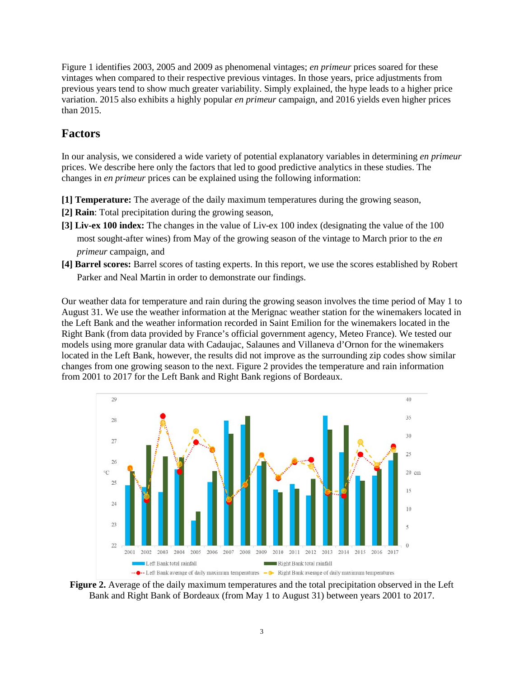Figure 1 identifies 2003, 2005 and 2009 as phenomenal vintages; *en primeur* prices soared for these vintages when compared to their respective previous vintages. In those years, price adjustments from previous years tend to show much greater variability. Simply explained, the hype leads to a higher price variation. 2015 also exhibits a highly popular *en primeur* campaign, and 2016 yields even higher prices than 2015.

# **Factors**

In our analysis, we considered a wide variety of potential explanatory variables in determining *en primeur* prices. We describe here only the factors that led to good predictive analytics in these studies. The changes in *en primeur* prices can be explained using the following information:

**[1] Temperature:** The average of the daily maximum temperatures during the growing season,

- **[2] Rain**: Total precipitation during the growing season,
- **[3] Liv-ex 100 index:** The changes in the value of Liv-ex 100 index (designating the value of the 100 most sought-after wines) from May of the growing season of the vintage to March prior to the *en primeur* campaign, and
- **[4] Barrel scores:** Barrel scores of tasting experts. In this report, we use the scores established by Robert Parker and Neal Martin in order to demonstrate our findings.

Our weather data for temperature and rain during the growing season involves the time period of May 1 to August 31. We use the weather information at the Merignac weather station for the winemakers located in the Left Bank and the weather information recorded in Saint Emilion for the winemakers located in the Right Bank (from data provided by France's official government agency, Meteo France). We tested our models using more granular data with Cadaujac, Salaunes and Villaneva d'Ornon for the winemakers located in the Left Bank, however, the results did not improve as the surrounding zip codes show similar changes from one growing season to the next. Figure 2 provides the temperature and rain information from 2001 to 2017 for the Left Bank and Right Bank regions of Bordeaux.



**Figure 2.** Average of the daily maximum temperatures and the total precipitation observed in the Left Bank and Right Bank of Bordeaux (from May 1 to August 31) between years 2001 to 2017.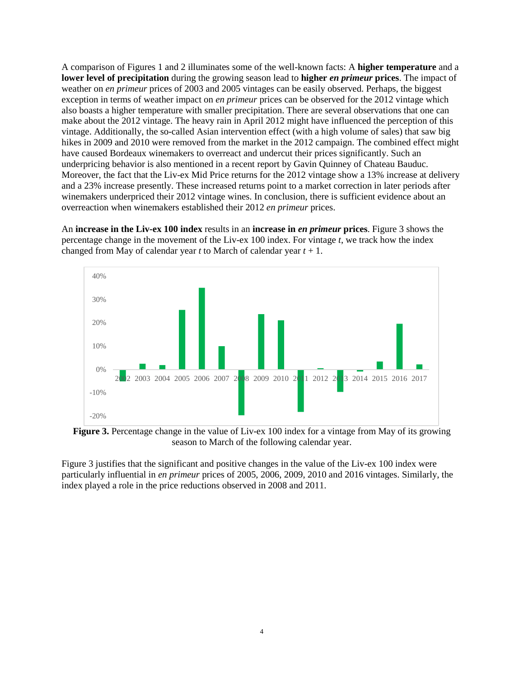A comparison of Figures 1 and 2 illuminates some of the well-known facts: A **higher temperature** and a **lower level of precipitation** during the growing season lead to **higher** *en primeur* **prices**. The impact of weather on *en primeur* prices of 2003 and 2005 vintages can be easily observed. Perhaps, the biggest exception in terms of weather impact on *en primeur* prices can be observed for the 2012 vintage which also boasts a higher temperature with smaller precipitation. There are several observations that one can make about the 2012 vintage. The heavy rain in April 2012 might have influenced the perception of this vintage. Additionally, the so-called Asian intervention effect (with a high volume of sales) that saw big hikes in 2009 and 2010 were removed from the market in the 2012 campaign. The combined effect might have caused Bordeaux winemakers to overreact and undercut their prices significantly. Such an underpricing behavior is also mentioned in a recent report by Gavin Quinney of Chateau Bauduc. Moreover, the fact that the Liv-ex Mid Price returns for the 2012 vintage show a 13% increase at delivery and a 23% increase presently. These increased returns point to a market correction in later periods after winemakers underpriced their 2012 vintage wines. In conclusion, there is sufficient evidence about an overreaction when winemakers established their 2012 *en primeur* prices.

An **increase in the Liv-ex 100 index** results in an **increase in** *en primeur* **prices**. Figure 3 shows the percentage change in the movement of the Liv-ex 100 index. For vintage *t*, we track how the index changed from May of calendar year *t* to March of calendar year *t* + 1.



**Figure 3.** Percentage change in the value of Liv-ex 100 index for a vintage from May of its growing season to March of the following calendar year.

Figure 3 justifies that the significant and positive changes in the value of the Liv-ex 100 index were particularly influential in *en primeur* prices of 2005, 2006, 2009, 2010 and 2016 vintages. Similarly, the index played a role in the price reductions observed in 2008 and 2011.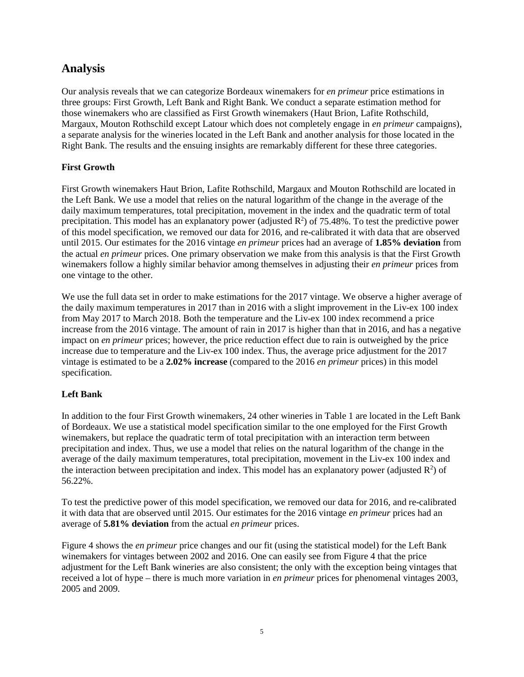# **Analysis**

Our analysis reveals that we can categorize Bordeaux winemakers for *en primeur* price estimations in three groups: First Growth, Left Bank and Right Bank. We conduct a separate estimation method for those winemakers who are classified as First Growth winemakers (Haut Brion, Lafite Rothschild, Margaux, Mouton Rothschild except Latour which does not completely engage in *en primeur* campaigns), a separate analysis for the wineries located in the Left Bank and another analysis for those located in the Right Bank. The results and the ensuing insights are remarkably different for these three categories.

## **First Growth**

First Growth winemakers Haut Brion, Lafite Rothschild, Margaux and Mouton Rothschild are located in the Left Bank. We use a model that relies on the natural logarithm of the change in the average of the daily maximum temperatures, total precipitation, movement in the index and the quadratic term of total precipitation. This model has an explanatory power (adjusted  $\mathbb{R}^2$ ) of 75.48%. To test the predictive power of this model specification, we removed our data for 2016, and re-calibrated it with data that are observed until 2015. Our estimates for the 2016 vintage *en primeur* prices had an average of **1.85% deviation** from the actual *en primeur* prices. One primary observation we make from this analysis is that the First Growth winemakers follow a highly similar behavior among themselves in adjusting their *en primeur* prices from one vintage to the other.

We use the full data set in order to make estimations for the 2017 vintage. We observe a higher average of the daily maximum temperatures in 2017 than in 2016 with a slight improvement in the Liv-ex 100 index from May 2017 to March 2018. Both the temperature and the Liv-ex 100 index recommend a price increase from the 2016 vintage. The amount of rain in 2017 is higher than that in 2016, and has a negative impact on *en primeur* prices; however, the price reduction effect due to rain is outweighed by the price increase due to temperature and the Liv-ex 100 index. Thus, the average price adjustment for the 2017 vintage is estimated to be a **2.02% increase** (compared to the 2016 *en primeur* prices) in this model specification.

## **Left Bank**

In addition to the four First Growth winemakers, 24 other wineries in Table 1 are located in the Left Bank of Bordeaux. We use a statistical model specification similar to the one employed for the First Growth winemakers, but replace the quadratic term of total precipitation with an interaction term between precipitation and index. Thus, we use a model that relies on the natural logarithm of the change in the average of the daily maximum temperatures, total precipitation, movement in the Liv-ex 100 index and the interaction between precipitation and index. This model has an explanatory power (adjusted  $\mathbb{R}^2$ ) of 56.22%.

To test the predictive power of this model specification, we removed our data for 2016, and re-calibrated it with data that are observed until 2015. Our estimates for the 2016 vintage *en primeur* prices had an average of **5.81% deviation** from the actual *en primeur* prices.

Figure 4 shows the *en primeur* price changes and our fit (using the statistical model) for the Left Bank winemakers for vintages between 2002 and 2016. One can easily see from Figure 4 that the price adjustment for the Left Bank wineries are also consistent; the only with the exception being vintages that received a lot of hype – there is much more variation in *en primeur* prices for phenomenal vintages 2003, 2005 and 2009.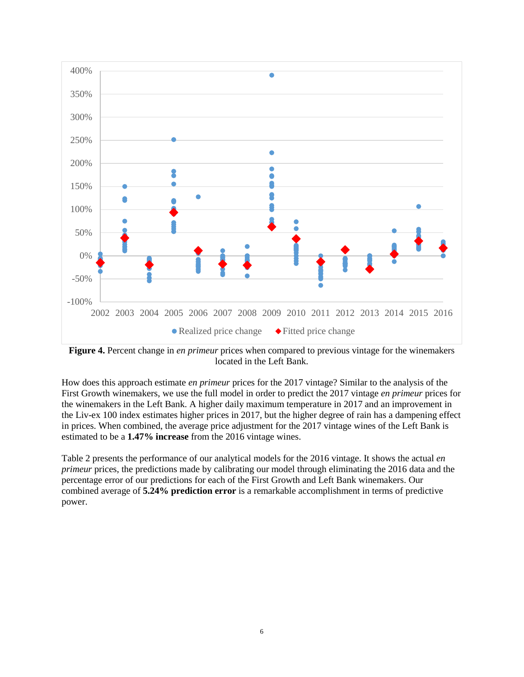

**Figure 4.** Percent change in *en primeur* prices when compared to previous vintage for the winemakers located in the Left Bank.

How does this approach estimate *en primeur* prices for the 2017 vintage? Similar to the analysis of the First Growth winemakers, we use the full model in order to predict the 2017 vintage *en primeur* prices for the winemakers in the Left Bank. A higher daily maximum temperature in 2017 and an improvement in the Liv-ex 100 index estimates higher prices in 2017, but the higher degree of rain has a dampening effect in prices. When combined, the average price adjustment for the 2017 vintage wines of the Left Bank is estimated to be a **1.47% increase** from the 2016 vintage wines.

Table 2 presents the performance of our analytical models for the 2016 vintage. It shows the actual *en primeur* prices, the predictions made by calibrating our model through eliminating the 2016 data and the percentage error of our predictions for each of the First Growth and Left Bank winemakers. Our combined average of **5.24% prediction error** is a remarkable accomplishment in terms of predictive power.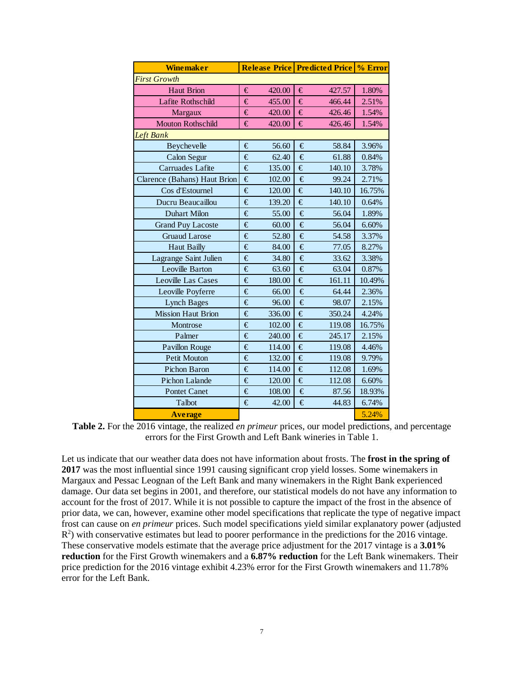| <b>Winemaker</b>             |   |        | <b>Release Price Predicted Price % Error</b> |        |        |  |  |  |
|------------------------------|---|--------|----------------------------------------------|--------|--------|--|--|--|
| <b>First Growth</b>          |   |        |                                              |        |        |  |  |  |
| <b>Haut Brion</b>            |   | 420.00 | €                                            | 427.57 | 1.80%  |  |  |  |
| Lafite Rothschild            |   | 455.00 | €                                            | 466.44 | 2.51%  |  |  |  |
| Margaux                      |   | 420.00 | €                                            | 426.46 | 1.54%  |  |  |  |
| <b>Mouton Rothschild</b>     |   | 420.00 | €                                            | 426.46 | 1.54%  |  |  |  |
| <b>Left Bank</b>             |   |        |                                              |        |        |  |  |  |
| Beychevelle                  |   | 56.60  | €                                            | 58.84  | 3.96%  |  |  |  |
| Calon Segur                  | € | 62.40  | €                                            | 61.88  | 0.84%  |  |  |  |
| Carruades Lafite             |   | 135.00 | €                                            | 140.10 | 3.78%  |  |  |  |
| Clarence (Bahans) Haut Brion |   | 102.00 | €                                            | 99.24  | 2.71%  |  |  |  |
| Cos d'Estournel              |   | 120.00 | €                                            | 140.10 | 16.75% |  |  |  |
| Ducru Beaucaillou            | € | 139.20 | €                                            | 140.10 | 0.64%  |  |  |  |
| Duhart Milon                 |   | 55.00  | €                                            | 56.04  | 1.89%  |  |  |  |
| <b>Grand Puy Lacoste</b>     |   | 60.00  | €                                            | 56.04  | 6.60%  |  |  |  |
| <b>Gruaud Larose</b>         |   | 52.80  | €                                            | 54.58  | 3.37%  |  |  |  |
| <b>Haut Bailly</b>           |   | 84.00  | €                                            | 77.05  | 8.27%  |  |  |  |
| Lagrange Saint Julien        |   | 34.80  | €                                            | 33.62  | 3.38%  |  |  |  |
| Leoville Barton              |   | 63.60  | €                                            | 63.04  | 0.87%  |  |  |  |
| <b>Leoville Las Cases</b>    |   | 180.00 | €                                            | 161.11 | 10.49% |  |  |  |
| Leoville Poyferre            |   | 66.00  | €                                            | 64.44  | 2.36%  |  |  |  |
| <b>Lynch Bages</b>           |   | 96.00  | €                                            | 98.07  | 2.15%  |  |  |  |
| <b>Mission Haut Brion</b>    |   | 336.00 | €                                            | 350.24 | 4.24%  |  |  |  |
| Montrose                     |   | 102.00 | €                                            | 119.08 | 16.75% |  |  |  |
| Palmer                       |   | 240.00 | €                                            | 245.17 | 2.15%  |  |  |  |
| <b>Pavillon Rouge</b>        |   | 114.00 | €                                            | 119.08 | 4.46%  |  |  |  |
| Petit Mouton                 |   | 132.00 | €                                            | 119.08 | 9.79%  |  |  |  |
| Pichon Baron                 |   | 114.00 | €                                            | 112.08 | 1.69%  |  |  |  |
| Pichon Lalande               |   | 120.00 | €                                            | 112.08 | 6.60%  |  |  |  |
| <b>Pontet Canet</b>          |   | 108.00 | €                                            | 87.56  | 18.93% |  |  |  |
| Talbot                       |   | 42.00  | €                                            | 44.83  | 6.74%  |  |  |  |
| <b>Average</b>               |   |        |                                              |        | 5.24%  |  |  |  |

**Table 2.** For the 2016 vintage, the realized *en primeur* prices, our model predictions, and percentage errors for the First Growth and Left Bank wineries in Table 1.

Let us indicate that our weather data does not have information about frosts. The **frost in the spring of 2017** was the most influential since 1991 causing significant crop yield losses. Some winemakers in Margaux and Pessac Leognan of the Left Bank and many winemakers in the Right Bank experienced damage. Our data set begins in 2001, and therefore, our statistical models do not have any information to account for the frost of 2017. While it is not possible to capture the impact of the frost in the absence of prior data, we can, however, examine other model specifications that replicate the type of negative impact frost can cause on *en primeur* prices. Such model specifications yield similar explanatory power (adjusted  $R<sup>2</sup>$ ) with conservative estimates but lead to poorer performance in the predictions for the 2016 vintage. These conservative models estimate that the average price adjustment for the 2017 vintage is a **3.01% reduction** for the First Growth winemakers and a **6.87% reduction** for the Left Bank winemakers. Their price prediction for the 2016 vintage exhibit 4.23% error for the First Growth winemakers and 11.78% error for the Left Bank.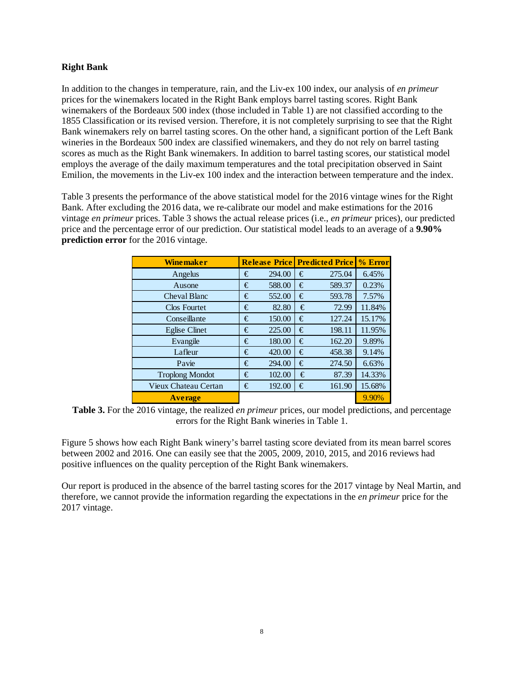### **Right Bank**

In addition to the changes in temperature, rain, and the Liv-ex 100 index, our analysis of *en primeur* prices for the winemakers located in the Right Bank employs barrel tasting scores. Right Bank winemakers of the Bordeaux 500 index (those included in Table 1) are not classified according to the 1855 Classification or its revised version. Therefore, it is not completely surprising to see that the Right Bank winemakers rely on barrel tasting scores. On the other hand, a significant portion of the Left Bank wineries in the Bordeaux 500 index are classified winemakers, and they do not rely on barrel tasting scores as much as the Right Bank winemakers. In addition to barrel tasting scores, our statistical model employs the average of the daily maximum temperatures and the total precipitation observed in Saint Emilion, the movements in the Liv-ex 100 index and the interaction between temperature and the index.

Table 3 presents the performance of the above statistical model for the 2016 vintage wines for the Right Bank. After excluding the 2016 data, we re-calibrate our model and make estimations for the 2016 vintage *en primeur* prices. Table 3 shows the actual release prices (i.e., *en primeur* prices), our predicted price and the percentage error of our prediction. Our statistical model leads to an average of a **9.90% prediction error** for the 2016 vintage.

| <b>Winemaker</b>       |  | <b>Release Price Predicted Price</b> |   |        | % Error |
|------------------------|--|--------------------------------------|---|--------|---------|
| Angelus                |  | 294.00                               | € | 275.04 | 6.45%   |
| Ausone                 |  | 588.00                               | € | 589.37 | 0.23%   |
| Cheval Blanc           |  | 552.00                               | € | 593.78 | 7.57%   |
| Clos Fourtet           |  | 82.80                                | € | 72.99  | 11.84%  |
| Conseillante           |  | 150.00                               | € | 127.24 | 15.17%  |
| <b>Eglise Clinet</b>   |  | 225.00                               | € | 198.11 | 11.95%  |
| Evangile               |  | 180.00                               | € | 162.20 | 9.89%   |
| Lafleur                |  | 420.00                               | € | 458.38 | 9.14%   |
| Pavie                  |  | 294.00                               | € | 274.50 | 6.63%   |
| <b>Troplong Mondot</b> |  | 102.00                               | € | 87.39  | 14.33%  |
| Vieux Chateau Certan   |  | 192.00                               | € | 161.90 | 15.68%  |
| <b>Average</b>         |  |                                      |   |        | 9.90%   |

**Table 3.** For the 2016 vintage, the realized *en primeur* prices, our model predictions, and percentage errors for the Right Bank wineries in Table 1.

Figure 5 shows how each Right Bank winery's barrel tasting score deviated from its mean barrel scores between 2002 and 2016. One can easily see that the 2005, 2009, 2010, 2015, and 2016 reviews had positive influences on the quality perception of the Right Bank winemakers.

Our report is produced in the absence of the barrel tasting scores for the 2017 vintage by Neal Martin, and therefore, we cannot provide the information regarding the expectations in the *en primeur* price for the 2017 vintage.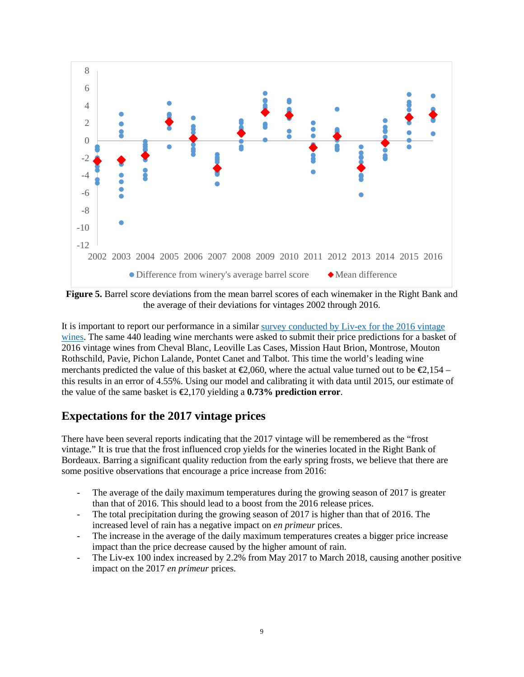

**Figure 5.** Barrel score deviations from the mean barrel scores of each winemaker in the Right Bank and the average of their deviations for vintages 2002 through 2016.

It is important to report our performance in a similar [survey conducted by Liv-ex for the 2016 vintage](https://www.liv-ex.com/2017/06/bordeaux-2016-merchant-price-predictions-compared-reality/)  [wines.](https://www.liv-ex.com/2017/06/bordeaux-2016-merchant-price-predictions-compared-reality/) The same 440 leading wine merchants were asked to submit their price predictions for a basket of 2016 vintage wines from Cheval Blanc, Leoville Las Cases, Mission Haut Brion, Montrose, Mouton Rothschild, Pavie, Pichon Lalande, Pontet Canet and Talbot. This time the world's leading wine merchants predicted the value of this basket at  $\epsilon$ 2,060, where the actual value turned out to be  $\epsilon$ 2,154 – this results in an error of 4.55%. Using our model and calibrating it with data until 2015, our estimate of the value of the same basket is  $\epsilon$ 2,170 yielding a **0.73% prediction error**.

## **Expectations for the 2017 vintage prices**

There have been several reports indicating that the 2017 vintage will be remembered as the "frost vintage." It is true that the frost influenced crop yields for the wineries located in the Right Bank of Bordeaux. Barring a significant quality reduction from the early spring frosts, we believe that there are some positive observations that encourage a price increase from 2016:

- The average of the daily maximum temperatures during the growing season of 2017 is greater than that of 2016. This should lead to a boost from the 2016 release prices.
- The total precipitation during the growing season of 2017 is higher than that of 2016. The increased level of rain has a negative impact on *en primeur* prices.
- The increase in the average of the daily maximum temperatures creates a bigger price increase impact than the price decrease caused by the higher amount of rain.
- The Liv-ex 100 index increased by 2.2% from May 2017 to March 2018, causing another positive impact on the 2017 *en primeur* prices.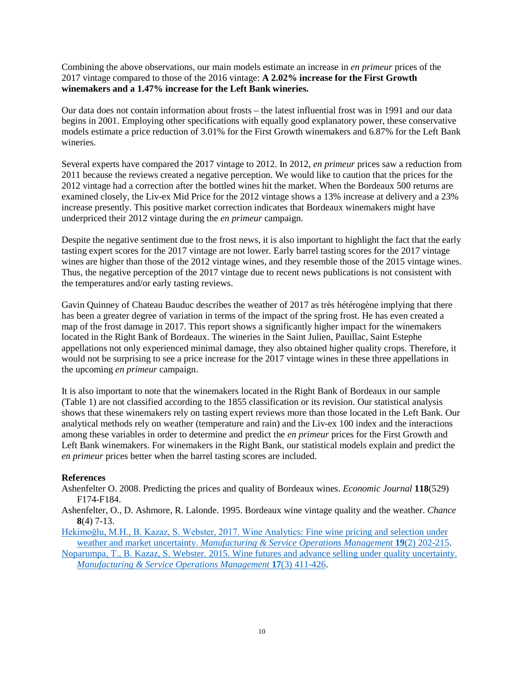Combining the above observations, our main models estimate an increase in *en primeur* prices of the 2017 vintage compared to those of the 2016 vintage: **A 2.02% increase for the First Growth winemakers and a 1.47% increase for the Left Bank wineries.**

Our data does not contain information about frosts – the latest influential frost was in 1991 and our data begins in 2001. Employing other specifications with equally good explanatory power, these conservative models estimate a price reduction of 3.01% for the First Growth winemakers and 6.87% for the Left Bank wineries.

Several experts have compared the 2017 vintage to 2012. In 2012, *en primeur* prices saw a reduction from 2011 because the reviews created a negative perception. We would like to caution that the prices for the 2012 vintage had a correction after the bottled wines hit the market. When the Bordeaux 500 returns are examined closely, the Liv-ex Mid Price for the 2012 vintage shows a 13% increase at delivery and a 23% increase presently. This positive market correction indicates that Bordeaux winemakers might have underpriced their 2012 vintage during the *en primeur* campaign.

Despite the negative sentiment due to the frost news, it is also important to highlight the fact that the early tasting expert scores for the 2017 vintage are not lower. Early barrel tasting scores for the 2017 vintage wines are higher than those of the 2012 vintage wines, and they resemble those of the 2015 vintage wines. Thus, the negative perception of the 2017 vintage due to recent news publications is not consistent with the temperatures and/or early tasting reviews.

Gavin Quinney of Chateau Bauduc describes the weather of 2017 as très hétérogène implying that there has been a greater degree of variation in terms of the impact of the spring frost. He has even created a map of the frost damage in 2017. This report shows a significantly higher impact for the winemakers located in the Right Bank of Bordeaux. The wineries in the Saint Julien, Pauillac, Saint Estephe appellations not only experienced minimal damage, they also obtained higher quality crops. Therefore, it would not be surprising to see a price increase for the 2017 vintage wines in these three appellations in the upcoming *en primeur* campaign.

It is also important to note that the winemakers located in the Right Bank of Bordeaux in our sample (Table 1) are not classified according to the 1855 classification or its revision. Our statistical analysis shows that these winemakers rely on tasting expert reviews more than those located in the Left Bank. Our analytical methods rely on weather (temperature and rain) and the Liv-ex 100 index and the interactions among these variables in order to determine and predict the *en primeur* prices for the First Growth and Left Bank winemakers. For winemakers in the Right Bank, our statistical models explain and predict the *en primeur* prices better when the barrel tasting scores are included.

### **References**

Ashenfelter O. 2008. Predicting the prices and quality of Bordeaux wines. *Economic Journal* **118**(529) F174-F184.

Ashenfelter, O., D. Ashmore, R. Lalonde. 1995. Bordeaux wine vintage quality and the weather. *Chance* **8**(4) 7-13.

[Hekimoğlu, M.H., B. Kazaz, S. Webster, 2017. Wine Analytic](https://bkazaz.expressions.syr.edu/wp-content/uploads/2018/01/MSOM-publication-2017-web.pdf)s: Fine wine pricing and selection under weather and market uncertainty. *[Manufacturing & Service Operations Management](https://bkazaz.expressions.syr.edu/wp-content/uploads/2018/01/MSOM-publication-2017-web.pdf)* **19**(2) 202-215.

[Noparumpa, T., B. Kazaz, S. Webster. 2015. Wine futures and advance selling under quality uncertainty.](https://bkazaz.expressions.syr.edu/wp-content/uploads/2015/05/NKWmsom2015AA.pdf)  *[Manufacturing & Service Operations Management](https://bkazaz.expressions.syr.edu/wp-content/uploads/2015/05/NKWmsom2015AA.pdf)* **17**(3) 411-426.